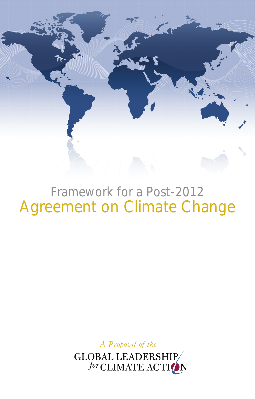

# Framework for a Post-2012 Agreement on Climate Change

*A Proposal of the*

GLOBAL LEADERSHIP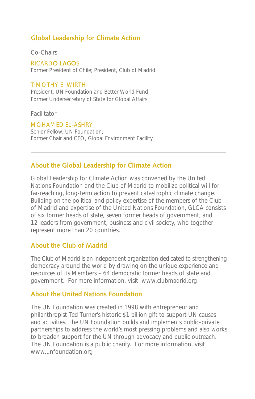### **Global Leadership for Climate Action**

Co-Chairs

RICARD**O LAGO**S Former President of Chile; President, Club of Madrid

#### TIMOTHY E. WIRTH

President, UN Foundation and Better World Fund; Former Undersecretary of State for Global Affairs

Facilitator

MOHAMED EL-ASHRY Senior Fellow, UN Foundation; Former Chair and CEO, Global Environment Facility

### **About the Global Leadership for Climate Action**

Global Leadership for Climate Action was convened by the United Nations Foundation and the Club of Madrid to mobilize political will for far-reaching, long-term action to prevent catastrophic climate change. Building on the political and policy expertise of the members of the Club of Madrid and expertise of the United Nations Foundation, GLCA consists of six former heads of state, seven former heads of government, and 12 leaders from government, business and civil society, who together represent more than 20 countries.

#### **About the Club of Madrid**

The Club of Madrid is an independent organization dedicated to strengthening democracy around the world by drawing on the unique experience and resources of its Members – 64 democratic former heads of state and government. For more information, visit www.clubmadrid.org

#### **About the United Nations Foundation**

The UN Foundation was created in 1998 with entrepreneur and philanthropist Ted Turner's historic \$1 billion gift to support UN causes and activities. The UN Foundation builds and implements public-private partnerships to address the world's most pressing problems and also works to broaden support for the UN through advocacy and public outreach. The UN Foundation is a public charity. For more information, visit www.unfoundation.org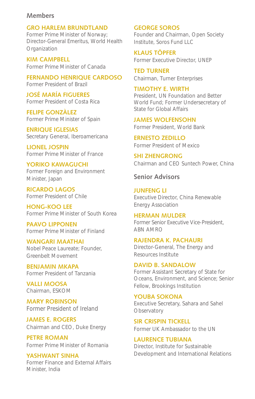#### **Members**

**GRO HARLEM BRUNDTLAND** Former Prime Minister of Norway; Director-General Emeritus, World Health **Organization** 

**KIM CAMPBELL** Former Prime Minister of Canada

**FERNANDO HENRIQUE CARDOSO** Former President of Brazil

**JOSÉ MARÍA FIGUERES** Former President of Costa Rica

**FELIPE GONZÀLEZ** Former Prime Minister of Spain

**ENRIQUE IGLESIAS** Secretary General, Iberoamericana

**LIONEL JOSPIN** Former Prime Minister of France

**YORIKO KAWAGUCHI** Former Foreign and Environment Minister, Japan

**RICARDO LAGOS** Former President of Chile

**HONG-KOO LEE** Former Prime Minister of South Korea

**PAAVO LIPPONEN** Former Prime Minister of Finland

**WANGARI MAATHAI** Nobel Peace Laureate; Founder, Greenbelt Movement

**BENJAMIN MKAPA** Former President of Tanzania

**VALLI MOOSA** Chairman, ESKOM

**MARY ROBINSON** Former President of Ireland

**JAMES E. ROGERS** Chairman and CEO, Duke Energy

**PETRE ROMAN** Former Prime Minister of Romania

**YASHWANT SINHA** Former Finance and External Affairs Minister, India

**GEORGE SOROS**

Founder and Chairman, Open Society Institute, Soros Fund LLC

**KLAUS TÖPFER** Former Executive Director, UNEP

**TED TURNER** Chairman, Turner Enterprises

**TIMOTHY E. WIRTH** President, UN Foundation and Better World Fund; Former Undersecretary of State for Global Affairs

**JAMES WOLFENSOHN** Former President, World Bank

**ERNESTO ZEDILLO** Former President of Mexico

**SHI ZHENGRONG** Chairman and CEO Suntech Power, China

**Senior Advisors**

**JUNFENG LI** Executive Director, China Renewable Energy Association

**HERMAN MULDER** Former Senior Executive Vice-President, ABN AMRO

**Rajendra K. Pachauri** Director-General, The Energy and Resources Institute

**DAVID B. SANDALOW** Former Assistant Secretary of State for Oceans, Environment, and Science; Senior Fellow, Brookings Institution

**YOUBA SOKONA** Executive Secretary, Sahara and Sahel **Observatory** 

**SIR CRISPIN TICKELL** Former UK Ambassador to the UN

**LAURENCE TUBIANA** Director, Institute for Sustainable Development and International Relations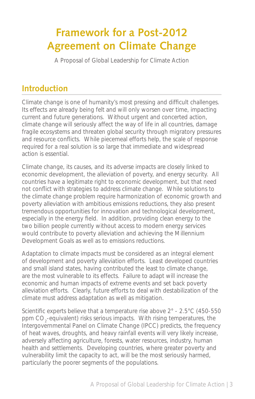## **Framework for a Post-2012 Agreement on Climate Change**

A Proposal of Global Leadership for Climate Action

### **Introduction**

Climate change is one of humanity's most pressing and difficult challenges. Its effects are already being felt and will only worsen over time, impacting current and future generations. Without urgent and concerted action, climate change will seriously affect the way of life in all countries, damage fragile ecosystems and threaten global security through migratory pressures and resource conflicts. While piecemeal efforts help, the scale of response required for a real solution is so large that immediate and widespread action is essential.

Climate change, its causes, and its adverse impacts are closely linked to economic development, the alleviation of poverty, and energy security. All countries have a legitimate right to economic development, but that need not conflict with strategies to address climate change. While solutions to the climate change problem require harmonization of economic growth and poverty alleviation with ambitious emissions reductions, they also present tremendous opportunities for innovation and technological development, especially in the energy field. In addition, providing clean energy to the two billion people currently without access to modern energy services would contribute to poverty alleviation and achieving the Millennium Development Goals as well as to emissions reductions.

Adaptation to climate impacts must be considered as an integral element of development and poverty alleviation efforts. Least developed countries and small island states, having contributed the least to climate change, are the most vulnerable to its effects. Failure to adapt will increase the economic and human impacts of extreme events and set back poverty alleviation efforts. Clearly, future efforts to deal with destabilization of the climate must address adaptation as well as mitigation.

Scientific experts believe that a temperature rise above 2° - 2.5°C (450-550 ppm  $CO_2$ -equivalent) risks serious impacts. With rising temperatures, the Intergovernmental Panel on Climate Change (IPCC) predicts, the frequency of heat waves, droughts, and heavy rainfall events will very likely increase, adversely affecting agriculture, forests, water resources, industry, human health and settlements. Developing countries, where greater poverty and vulnerability limit the capacity to act, will be the most seriously harmed, particularly the poorer segments of the populations.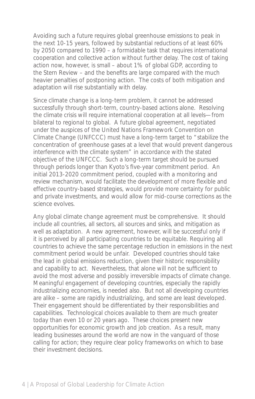Avoiding such a future requires global greenhouse emissions to peak in the next 10-15 years, followed by substantial reductions of at least 60% by 2050 compared to 1990 – a formidable task that requires international cooperation and collective action without further delay. The cost of taking action now, however, is small – about 1% of global GDP, according to the Stern Review – and the benefits are large compared with the much heavier penalties of postponing action. The costs of both mitigation and adaptation will rise substantially with delay.

Since climate change is a long-term problem, it cannot be addressed successfully through short-term, country-based actions alone. Resolving the climate crisis will require international cooperation at all levels—from bilateral to regional to global. A future global agreement, negotiated under the auspices of the United Nations Framework Convention on Climate Change (UNFCCC) must have a long-term target to "stabilize the concentration of greenhouse gases at a level that would prevent dangerous interference with the climate system" in accordance with the stated objective of the UNFCCC. Such a long-term target should be pursued through periods longer than Kyoto's five-year commitment period. An initial 2013-2020 commitment period, coupled with a monitoring and review mechanism, would facilitate the development of more flexible and effective country-based strategies, would provide more certainty for public and private investments, and would allow for mid-course corrections as the science evolves.

Any global climate change agreement must be comprehensive. It should include all countries, all sectors, all sources and sinks, and mitigation as well as adaptation. A new agreement, however, will be successful only if it is perceived by all participating countries to be equitable. Requiring all countries to achieve the same percentage reduction in emissions in the next commitment period would be unfair. Developed countries should take the lead in global emissions reduction, given their historic responsibility and capability to act. Nevertheless, that alone will not be sufficient to avoid the most adverse and possibly irreversible impacts of climate change. Meaningful engagement of developing countries, especially the rapidly industrializing economies, is needed also. But not all developing countries are alike – some are rapidly industrializing, and some are least developed. Their engagement should be differentiated by their responsibilities and capabilities. Technological choices available to them are much greater today than even 10 or 20 years ago. These choices present new opportunities for economic growth and job creation. As a result, many leading businesses around the world are now in the vanguard of those calling for action; they require clear policy frameworks on which to base their investment decisions.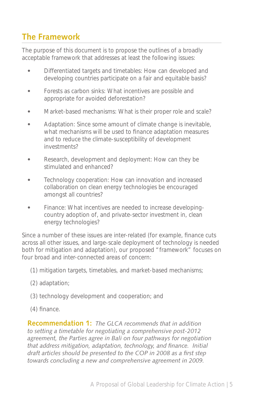### **The Framework**

The purpose of this document is to propose the outlines of a broadly acceptable framework that addresses at least the following issues:

- Differentiated targets and timetables: How can developed and developing countries participate on a fair and equitable basis?
- Forests as carbon sinks: What incentives are possible and appropriate for avoided deforestation?
- Market-based mechanisms: What is their proper role and scale?
- Adaptation: Since some amount of climate change is inevitable, what mechanisms will be used to finance adaptation measures and to reduce the climate-susceptibility of development investments?
- Research, development and deployment: How can they be stimulated and enhanced?
- Technology cooperation: How can innovation and increased collaboration on clean energy technologies be encouraged amongst all countries?
- Finance: What incentives are needed to increase developingcountry adoption of, and private-sector investment in, clean energy technologies?

Since a number of these issues are inter-related (for example, finance cuts across all other issues, and large-scale deployment of technology is needed both for mitigation and adaptation), our proposed "framework" focuses on four broad and inter-connected areas of concern:

- (1) mitigation targets, timetables, and market-based mechanisms;
- (2) adaptation;
- (3) technology development and cooperation; and
- (4) finance.

**Recommendation 1:** *The GLCA recommends that in addition to setting a timetable for negotiating a comprehensive post-2012 agreement, the Parties agree in Bali on four pathways for negotiation that address mitigation, adaptation, technology, and finance. Initial draft articles should be presented to the COP in 2008 as a first step towards concluding a new and comprehensive agreement in 2009.*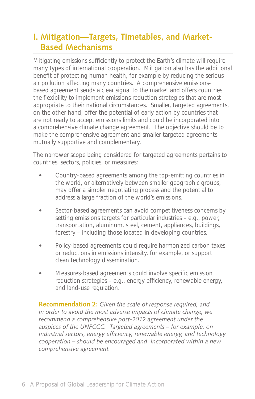### **I. Mitigation—Targets, Timetables, and Market-Based Mechanisms**

Mitigating emissions sufficiently to protect the Earth's climate will require many types of international cooperation. Mitigation also has the additional benefit of protecting human health, for example by reducing the serious air pollution affecting many countries. A comprehensive emissionsbased agreement sends a clear signal to the market and offers countries the flexibility to implement emissions reduction strategies that are most appropriate to their national circumstances. Smaller, targeted agreements, on the other hand, offer the potential of early action by countries that are not ready to accept emissions limits and could be incorporated into a comprehensive climate change agreement. The objective should be to make the comprehensive agreement and smaller targeted agreements mutually supportive and complementary.

The narrower scope being considered for targeted agreements pertains to countries, sectors, policies, or measures:

- Country-based agreements among the top-emitting countries in the world, or alternatively between smaller geographic groups, may offer a simpler negotiating process and the potential to address a large fraction of the world's emissions.
- Sector-based agreements can avoid competitiveness concerns by setting emissions targets for particular industries – e.g., power, transportation, aluminum, steel, cement, appliances, buildings, forestry – including those located in developing countries.
- Policy-based agreements could require harmonized carbon taxes or reductions in emissions intensity, for example, or support clean technology dissemination.
- Measures-based agreements could involve specific emission reduction strategies – e.g., energy efficiency, renewable energy, and land-use regulation.

**Recommendation 2:** *Given the scale of response required, and in order to avoid the most adverse impacts of climate change, we recommend a comprehensive post-2012 agreement under the auspices of the UNFCCC. Targeted agreements – for example, on industrial sectors, energy efficiency, renewable energy, and technology cooperation – should be encouraged and incorporated within a new comprehensive agreement.*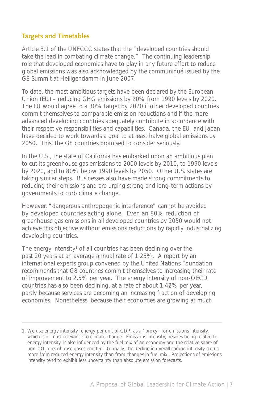#### **Targets and Timetables**

Article 3.1 of the UNFCCC states that the "developed countries should take the lead in combating climate change." The continuing leadership role that developed economies have to play in any future effort to reduce global emissions was also acknowledged by the communiqué issued by the G8 Summit at Heiligendamm in June 2007.

To date, the most ambitious targets have been declared by the European Union (EU) – reducing GHG emissions by 20% from 1990 levels by 2020. The EU would agree to a 30% target by 2020 if other developed countries commit themselves to comparable emission reductions and if the more advanced developing countries adequately contribute in accordance with their respective responsibilities and capabilities. Canada, the EU, and Japan have decided to work towards a goal to at least halve global emissions by 2050. This, the G8 countries promised to consider seriously.

In the U.S., the state of California has embarked upon an ambitious plan to cut its greenhouse gas emissions to 2000 levels by 2010, to 1990 levels by 2020, and to 80% below 1990 levels by 2050. Other U.S. states are taking similar steps. Businesses also have made strong commitments to reducing their emissions and are urging strong and long-term actions by governments to curb climate change.

However, "dangerous anthropogenic interference" cannot be avoided by developed countries acting alone. Even an 80% reduction of greenhouse gas emissions in all developed countries by 2050 would not achieve this objective without emissions reductions by rapidly industrializing developing countries.

The energy intensity<sup>1</sup> of all countries has been declining over the past 20 years at an average annual rate of 1.25%. A report by an international experts group convened by the United Nations Foundation recommends that G8 countries commit themselves to increasing their rate of improvement to 2.5% per year. The energy intensity of non-OECD countries has also been declining, at a rate of about 1.42% per year, partly because services are becoming an increasing fraction of developing economies. Nonetheless, because their economies are growing at much

<sup>1.</sup> We use energy intensity (energy per unit of GDP) as a "proxy" for emissions intensity, which is of most relevance to climate change. Emissions intensity, besides being related to energy intensity, is also influenced by the fuel mix of an economy and the relative share of non-CO<sub>2</sub> greenhouse gases emitted. Globally, the decline in overall carbon intensity stems more from reduced energy intensity than from changes in fuel mix. Projections of emissions intensity tend to exhibit less uncertainty than absolute emission forecasts.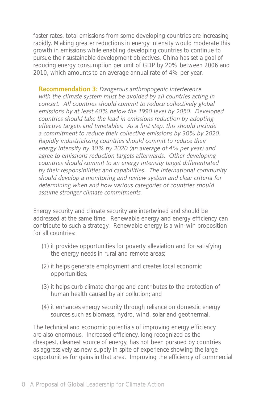faster rates, total emissions from some developing countries are increasing rapidly. Making greater reductions in energy intensity would moderate this growth in emissions while enabling developing countries to continue to pursue their sustainable development objectives. China has set a goal of reducing energy consumption per unit of GDP by 20% between 2006 and 2010, which amounts to an average annual rate of 4% per year.

**Recommendation 3:** *Dangerous anthropogenic interference with the climate system must be avoided by all countries acting in concert. All countries should commit to reduce collectively global emissions by at least 60% below the 1990 level by 2050. Developed countries should take the lead in emissions reduction by adopting effective targets and timetables. As a first step, this should include a commitment to reduce their collective emissions by 30% by 2020. Rapidly industrializing countries should commit to reduce their energy intensity by 30% by 2020 (an average of 4% per year) and agree to emissions reduction targets afterwards. Other developing countries should commit to an energy intensity target differentiated by their responsibilities and capabilities. The international community should develop a monitoring and review system and clear criteria for determining when and how various categories of countries should assume stronger climate commitments.*

Energy security and climate security are intertwined and should be addressed at the same time. Renewable energy and energy efficiency can contribute to such a strategy. Renewable energy is a win-win proposition for all countries:

- (1) it provides opportunities for poverty alleviation and for satisfying the energy needs in rural and remote areas;
- (2) it helps generate employment and creates local economic opportunities;
- (3) it helps curb climate change and contributes to the protection of human health caused by air pollution; and
- (4) it enhances energy security through reliance on domestic energy sources such as biomass, hydro, wind, solar and geothermal.

The technical and economic potentials of improving energy efficiency are also enormous. Increased efficiency, long recognized as the cheapest, cleanest source of energy, has not been pursued by countries as aggressively as new supply in spite of experience showing the large opportunities for gains in that area. Improving the efficiency of commercial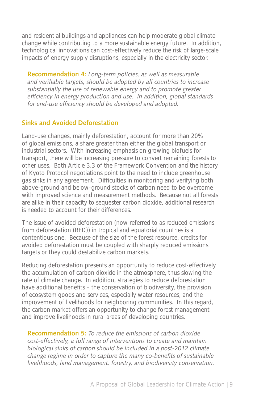and residential buildings and appliances can help moderate global climate change while contributing to a more sustainable energy future. In addition, technological innovations can cost-effectively reduce the risk of large-scale impacts of energy supply disruptions, especially in the electricity sector.

**Recommendation 4:** *Long-term policies, as well as measurable and verifiable targets, should be adopted by all countries to increase substantially the use of renewable energy and to promote greater efficiency in energy production and use. In addition, global standards for end-use efficiency should be developed and adopted.*

### **Sinks and Avoided Deforestation**

Land-use changes, mainly deforestation, account for more than 20% of global emissions, a share greater than either the global transport or industrial sectors. With increasing emphasis on growing biofuels for transport, there will be increasing pressure to convert remaining forests to other uses. Both Article 3.3 of the Framework Convention and the history of Kyoto Protocol negotiations point to the need to include greenhouse gas sinks in any agreement. Difficulties in monitoring and verifying both above-ground and below-ground stocks of carbon need to be overcome with improved science and measurement methods. Because not all forests are alike in their capacity to sequester carbon dioxide, additional research is needed to account for their differences.

The issue of avoided deforestation (now referred to as reduced emissions from deforestation (RED)) in tropical and equatorial countries is a contentious one. Because of the size of the forest resource, credits for avoided deforestation must be coupled with sharply reduced emissions targets or they could destabilize carbon markets.

Reducing deforestation presents an opportunity to reduce cost-effectively the accumulation of carbon dioxide in the atmosphere, thus slowing the rate of climate change. In addition, strategies to reduce deforestation have additional benefits – the conservation of biodiversity, the provision of ecosystem goods and services, especially water resources, and the improvement of livelihoods for neighboring communities. In this regard, the carbon market offers an opportunity to change forest management and improve livelihoods in rural areas of developing countries.

**Recommendation 5:** *To reduce the emissions of carbon dioxide cost-effectively, a full range of interventions to create and maintain biological sinks of carbon should be included in a post-2012 climate change regime in order to capture the many co-benefits of sustainable livelihoods, land management, forestry, and biodiversity conservation.*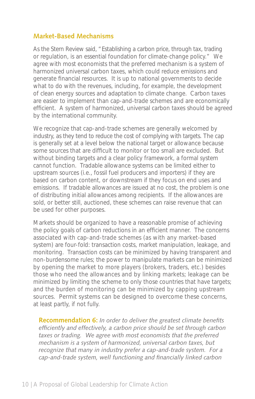#### **Market-Based Mechanisms**

As the Stern Review said, "Establishing a carbon price, through tax, trading or regulation, is an essential foundation for climate-change policy." We agree with most economists that the preferred mechanism is a system of harmonized universal carbon taxes, which could reduce emissions and generate financial resources. It is up to national governments to decide what to do with the revenues, including, for example, the development of clean energy sources and adaptation to climate change. Carbon taxes are easier to implement than cap-and-trade schemes and are economically efficient. A system of harmonized, universal carbon taxes should be agreed by the international community.

We recognize that cap-and-trade schemes are generally welcomed by industry, as they tend to reduce the cost of complying with targets. The cap is generally set at a level below the national target or allowance because some sources that are difficult to monitor or too small are excluded. But without binding targets and a clear policy framework, a formal system cannot function. Tradable allowance systems can be limited either to upstream sources (i.e., fossil fuel producers and importers) if they are based on carbon content, or downstream if they focus on end uses and emissions. If tradable allowances are issued at no cost, the problem is one of distributing initial allowances among recipients. If the allowances are sold, or better still, auctioned, these schemes can raise revenue that can be used for other purposes.

Markets should be organized to have a reasonable promise of achieving the policy goals of carbon reductions in an efficient manner. The concerns associated with cap-and-trade schemes (as with any market-based system) are four-fold: transaction costs, market manipulation, leakage, and monitoring. Transaction costs can be minimized by having transparent and non-burdensome rules; the power to manipulate markets can be minimized by opening the market to more players (brokers, traders, etc.) besides those who need the allowances and by linking markets; leakage can be minimized by limiting the scheme to only those countries that have targets; and the burden of monitoring can be minimized by capping upstream sources. Permit systems can be designed to overcome these concerns, at least partly, if not fully.

**Recommendation 6:** *In order to deliver the greatest climate benefits efficiently and effectively, a carbon price should be set through carbon taxes or trading. We agree with most economists that the preferred mechanism is a system of harmonized, universal carbon taxes, but recognize that many in industry prefer a cap-and-trade system. For a cap-and-trade system, well functioning and financially linked carbon*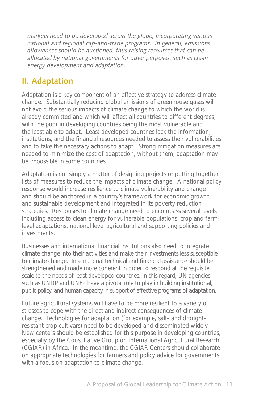*markets need to be developed across the globe, incorporating various national and regional cap-and-trade programs. In general, emissions allowances should be auctioned, thus raising resources that can be allocated by national governments for other purposes, such as clean energy development and adaptation.* 

### **II. Adaptation**

Adaptation is a key component of an effective strategy to address climate change. Substantially reducing global emissions of greenhouse gases will not avoid the serious impacts of climate change to which the world is already committed and which will affect all countries to different degrees, with the poor in developing countries being the most vulnerable and the least able to adapt. Least developed countries lack the information, institutions, and the financial resources needed to assess their vulnerabilities and to take the necessary actions to adapt. Strong mitigation measures are needed to minimize the cost of adaptation; without them, adaptation may be impossible in some countries.

Adaptation is not simply a matter of designing projects or putting together lists of measures to reduce the impacts of climate change. A national policy response would increase resilience to climate vulnerability and change and should be anchored in a country's framework for economic growth and sustainable development and integrated in its poverty reduction strategies. Responses to climate change need to encompass several levels including access to clean energy for vulnerable populations, crop and farmlevel adaptations, national level agricultural and supporting policies and investments.

Businesses and international financial institutions also need to integrate climate change into their activities and make their investments less susceptible to climate change. International technical and financial assistance should be strengthened and made more coherent in order to respond at the requisite scale to the needs of least developed countries. In this regard, UN agencies such as UNDP and UNEP have a pivotal role to play in building institutional, public policy, and human capacity in support of effective programs of adaptation.

Future agricultural systems will have to be more resilient to a variety of stresses to cope with the direct and indirect consequences of climate change. Technologies for adaptation (for example, salt- and droughtresistant crop cultivars) need to be developed and disseminated widely. New centers should be established for this purpose in developing countries, especially by the Consultative Group on International Agricultural Research (CGIAR) in Africa. In the meantime, the CGIAR Centers should collaborate on appropriate technologies for farmers and policy advice for governments, with a focus on adaptation to climate change.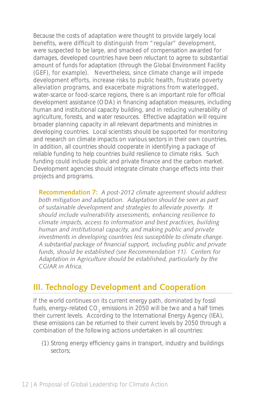Because the costs of adaptation were thought to provide largely local benefits, were difficult to distinguish from "regular" development, were suspected to be large, and smacked of compensation awarded for damages, developed countries have been reluctant to agree to substantial amount of funds for adaptation (through the Global Environment Facility (GEF), for example). Nevertheless, since climate change will impede development efforts, increase risks to public health, frustrate poverty alleviation programs, and exacerbate migrations from waterlogged, water-scarce or food-scarce regions, there is an important role for official development assistance (ODA) in financing adaptation measures, including human and institutional capacity building, and in reducing vulnerability of agriculture, forests, and water resources. Effective adaptation will require broader planning capacity in all relevant departments and ministries in developing countries. Local scientists should be supported for monitoring and research on climate impacts on various sectors in their own countries. In addition, all countries should cooperate in identifying a package of reliable funding to help countries build resilience to climate risks. Such funding could include public and private finance and the carbon market. Development agencies should integrate climate change effects into their projects and programs.

**Recommendation 7:** *A post-2012 climate agreement should address both mitigation and adaptation. Adaptation should be seen as part of sustainable development and strategies to alleviate poverty. It should include vulnerability assessments, enhancing resilience to climate impacts, access to information and best practices, building human and institutional capacity, and making public and private investments in developing countries less susceptible to climate change. A substantial package of financial support, including public and private funds, should be established (see Recommendation 11). Centers for Adaptation in Agriculture should be established, particularly by the CGIAR in Africa.* 

### **III. Technology Development and Cooperation**

If the world continues on its current energy path, dominated by fossil fuels, energy-related CO<sub>2</sub> emissions in 2050 will be two and a half times their current levels. According to the International Energy Agency (IEA), these emissions can be returned to their current levels by 2050 through a combination of the following actions undertaken in all countries:

(1) Strong energy efficiency gains in transport, industry and buildings sectors;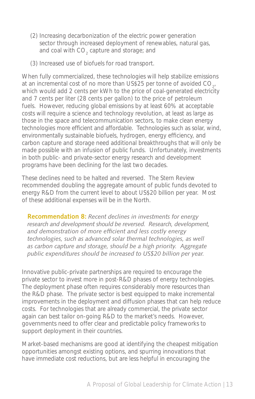- (2) Increasing decarbonization of the electric power generation sector through increased deployment of renewables, natural gas, and coal with  $\mathsf{CO}_2^{}$  capture and storage; and
- (3) Increased use of biofuels for road transport.

When fully commercialized, these technologies will help stabilize emissions at an incremental cost of no more than US\$25 per tonne of avoided CO<sub>2</sub>, which would add 2 cents per kWh to the price of coal-generated electricity and 7 cents per liter (28 cents per gallon) to the price of petroleum fuels. However, reducing global emissions by at least 60% at acceptable costs will require a science and technology revolution, at least as large as those in the space and telecommunication sectors, to make clean energy technologies more efficient and affordable. Technologies such as solar, wind, environmentally sustainable biofuels, hydrogen, energy efficiency, and carbon capture and storage need additional breakthroughs that will only be made possible with an infusion of public funds. Unfortunately, investments in both public- and private-sector energy research and development programs have been declining for the last two decades.

These declines need to be halted and reversed. The Stern Review recommended doubling the aggregate amount of public funds devoted to energy R&D from the current level to about US\$20 billion per year. Most of these additional expenses will be in the North.

**Recommendation 8:** *Recent declines in investments for energy research and development should be reversed. Research, development, and demonstration of more efficient and less costly energy technologies, such as advanced solar thermal technologies, as well as carbon capture and storage, should be a high priority. Aggregate public expenditures should be increased to US\$20 billion per year.*

Innovative public-private partnerships are required to encourage the private sector to invest more in post-R&D phases of energy technologies. The deployment phase often requires considerably more resources than the R&D phase. The private sector is best equipped to make incremental improvements in the deployment and diffusion phases that can help reduce costs. For technologies that are already commercial, the private sector again can best tailor on-going R&D to the market's needs. However, governments need to offer clear and predictable policy frameworks to support deployment in their countries.

Market-based mechanisms are good at identifying the cheapest mitigation opportunities amongst existing options, and spurring innovations that have immediate cost reductions, but are less helpful in encouraging the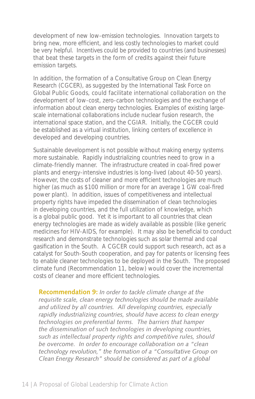development of new low-emission technologies. Innovation targets to bring new, more efficient, and less costly technologies to market could be very helpful. Incentives could be provided to countries (and businesses) that beat these targets in the form of credits against their future emission targets.

In addition, the formation of a Consultative Group on Clean Energy Research (CGCER), as suggested by the International Task Force on Global Public Goods, could facilitate international collaboration on the development of low-cost, zero-carbon technologies and the exchange of information about clean energy technologies. Examples of existing largescale international collaborations include nuclear fusion research, the international space station, and the CGIAR. Initially, the CGCER could be established as a virtual institution, linking centers of excellence in developed and developing countries.

Sustainable development is not possible without making energy systems more sustainable. Rapidly industrializing countries need to grow in a climate-friendly manner. The infrastructure created in coal-fired power plants and energy-intensive industries is long-lived (about 40-50 years). However, the costs of cleaner and more efficient technologies are much higher (as much as \$100 million or more for an average 1 GW coal-fired power plant). In addition, issues of competitiveness and intellectual property rights have impeded the dissemination of clean technologies in developing countries, and the full utilization of knowledge, which is a global public good. Yet it is important to all countries that clean energy technologies are made as widely available as possible (like generic medicines for HIV-AIDS, for example). It may also be beneficial to conduct research and demonstrate technologies such as solar thermal and coal gasification in the South. A CGCER could support such research, act as a catalyst for South-South cooperation, and pay for patents or licensing fees to enable cleaner technologies to be deployed in the South. The proposed climate fund (Recommendation 11, below) would cover the incremental costs of cleaner and more efficient technologies.

**Recommendation 9:** *In order to tackle climate change at the requisite scale, clean energy technologies should be made available and utilized by all countries. All developing countries, especially rapidly industrializing countries, should have access to clean energy technologies on preferential terms. The barriers that hamper the dissemination of such technologies in developing countries, such as intellectual property rights and competitive rules, should be overcome. In order to encourage collaboration on a "clean technology revolution," the formation of a "Consultative Group on Clean Energy Research" should be considered as part of a global*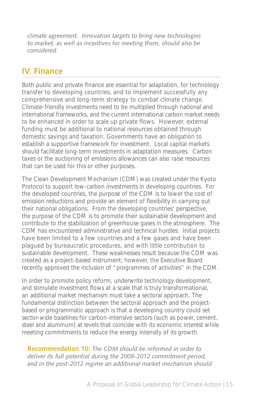*climate agreement. Innovation targets to bring new technologies to market, as well as incentives for meeting them, should also be considered.* 

### **IV. Finance**

Both public and private finance are essential for adaptation, for technology transfer to developing countries, and to implement successfully any comprehensive and long-term strategy to combat climate change. Climate-friendly investments need to be multiplied through national and international frameworks, and the current international carbon market needs to be enhanced in order to scale up private flows. However, external funding must be additional to national resources obtained through domestic savings and taxation. Governments have an obligation to establish a supportive framework for investment. Local capital markets should facilitate long-term investments in adaptation measures. Carbon taxes or the auctioning of emissions allowances can also raise resources that can be used for this or other purposes.

The Clean Development Mechanism (CDM) was created under the Kyoto Protocol to support low-carbon investments in developing countries. For the developed countries, the purpose of the CDM is to lower the cost of emission reductions and provide an element of flexibility in carrying out their national obligations. From the developing countries' perspective, the purpose of the CDM is to promote their sustainable development and contribute to the stabilization of greenhouse gases in the atmosphere. The CDM has encountered administrative and technical hurdles. Initial projects have been limited to a few countries and a few gases and have been plagued by bureaucratic procedures, and with little contribution to sustainable development. These weaknesses result because the CDM was created as a project-based instrument; however, the Executive Board recently approved the inclusion of "programmes of activities" in the CDM.

In order to promote policy reform, underwrite technology development, and stimulate investment flows at a scale that is truly transformational, an additional market mechanism must take a sectoral approach. The fundamental distinction between the sectoral approach and the projectbased or programmatic approach is that a developing country could set sector-wide baselines for carbon-intensive sectors (such as power, cement, steel and aluminum) at levels that coincide with its economic interest while meeting commitments to reduce the energy intensity of its growth.

**Recommendation 10:** *The CDM should be reformed in order to deliver its full potential during the 2008-2012 commitment period, and in the post-2012 regime an additional market mechanism should*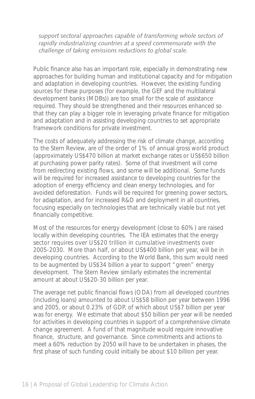*support sectoral approaches capable of transforming whole sectors of rapidly industrializing countries at a speed commensurate with the challenge of taking emissions reductions to global scale.*

Public finance also has an important role, especially in demonstrating new approaches for building human and institutional capacity and for mitigation and adaptation in developing countries. However, the existing funding sources for these purposes (for example, the GEF and the multilateral development banks (MDBs)) are too small for the scale of assistance required. They should be strengthened and their resources enhanced so that they can play a bigger role in leveraging private finance for mitigation and adaptation and in assisting developing countries to set appropriate framework conditions for private investment.

The costs of adequately addressing the risk of climate change, according to the Stern Review, are of the order of 1% of annual gross world product (approximately US\$470 billion at market exchange rates or US\$650 billion at purchasing power parity rates). Some of that investment will come from redirecting existing flows, and some will be additional. Some funds will be required for increased assistance to developing countries for the adoption of energy efficiency and clean energy technologies, and for avoided deforestation. Funds will be required for greening power sectors, for adaptation, and for increased R&D and deployment in all countries, focusing especially on technologies that are technically viable but not yet financially competitive.

Most of the resources for energy development (close to 60%) are raised locally within developing countries. The IEA estimates that the energy sector requires over US\$20 trillion in cumulative investments over 2005-2030. More than half, or about US\$400 billion per year, will be in developing countries. According to the World Bank, this sum would need to be augmented by US\$34 billion a year to support "green" energy development. The Stern Review similarly estimates the incremental amount at about US\$20-30 billion per year.

The average net public financial flows (ODA) from all developed countries (including loans) amounted to about US\$58 billion per year between 1996 and 2005, or about 0.23% of GDP, of which about US\$7 billion per year was for energy. We estimate that about \$50 billion per year will be needed for activities in developing countries in support of a comprehensive climate change agreement. A fund of that magnitude would require innovative finance, structure, and governance. Since commitments and actions to meet a 60% reduction by 2050 will have to be undertaken in phases, the first phase of such funding could initially be about \$10 billion per year.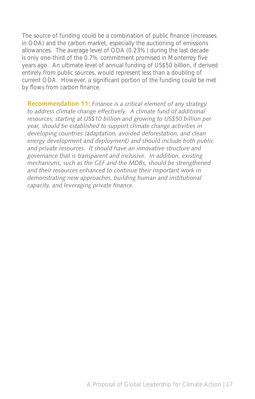The source of funding could be a combination of public finance (increases in ODA) and the carbon market, especially the auctioning of emissions allowances. The average level of ODA (0.23%) during the last decade is only one-third of the 0.7% commitment promised in Monterrey five years ago. An ultimate level of annual funding of US\$50 billion, if derived entirely from public sources, would represent less than a doubling of current ODA. However, a significant portion of the funding could be met by flows from carbon finance.

**Recommendation 11:** *Finance is a critical element of any strategy to address climate change effectively. A climate fund of additional resources, starting at US\$10 billion and growing to US\$50 billion per year, should be established to support climate change activities in developing countries (adaptation, avoided deforestation, and clean energy development and deployment) and should include both public and private resources. It should have an innovative structure and governance that is transparent and inclusive. In addition, existing mechanisms, such as the GEF and the MDBs, should be strengthened and their resources enhanced to continue their important work in demonstrating new approaches, building human and institutional capacity, and leveraging private finance.*